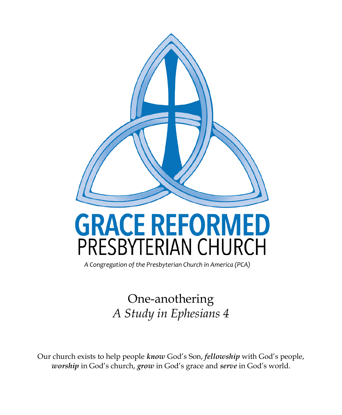

# **GRACE REFORMED** PRESBYTERIAN CHURCH

*A Congregation of the Presbyterian Church in America (PCA)*

One-anothering *A Study in Ephesians 4*

Our church exists to help people *know* God's Son, *fellowship* with God's people, *worship* in God's church, *grow* in God's grace and *serve* in God's world.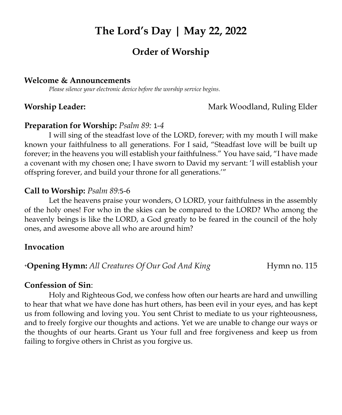# **The Lord's Day | May 22, 2022**

# **Order of Worship**

#### **Welcome & Announcements**

*Please silence your electronic device before the worship service begins.*

#### **Worship Leader: Mark Woodland, Ruling Elder Mark Woodland, Ruling Elder**

#### **Preparation for Worship:** *Psalm 89:* [1](http://biblehub.com/psalms/89-1.htm)*-4*

I will sing of the steadfast love of the LORD, forever; with my mouth I will make known your faithfulness to all generations. For I said, "Steadfast love will be built up forever; in the heavens you will establish your faithfulness." You have said, "I have made a covenant with my chosen one; I have sworn to David my servant: 'I will establish your offspring forever, and build your throne for all generations.'"

#### **Call to Worship:** *Psalm 89:*[5](http://biblehub.com/psalms/89-5.htm)-6

Let the heavens praise your wonders, O LORD, your faithfulness in the assembly of the holy ones! For who in the skies can be compared to the LORD? Who among the heavenly beings is like the LORD, a God greatly to be feared in the council of the holy ones, and awesome above all who are around him?

#### **Invocation**

**+Opening Hymn:** All Creatures Of Our God And King **Hymn no.** 115

#### **Confession of Sin**:

Holy and Righteous God, we confess how often our hearts are hard and unwilling to hear that what we have done has hurt others, has been evil in your eyes, and has kept us from following and loving you. You sent Christ to mediate to us your righteousness, and to freely forgive our thoughts and actions. Yet we are unable to change our ways or the thoughts of our hearts. Grant us Your full and free forgiveness and keep us from failing to forgive others in Christ as you forgive us.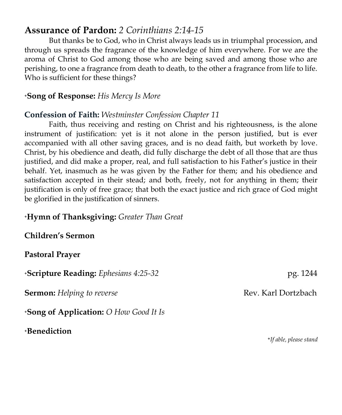# **Assurance of Pardon:** *2 Corinthians 2[:14-](http://biblehub.com/2_corinthians/2-14.htm)15*

But thanks be to God, who in Christ always leads us in triumphal procession, and through us spreads the fragrance of the knowledge of him everywhere. For we are the aroma of Christ to God among those who are being saved and among those who are perishing, to one a fragrance from death to death, to the other a fragrance from life to life. Who is sufficient for these things?

#### **<sup>+</sup>Song of Response:** *His Mercy Is More*

#### **Confession of Faith:** *Westminster Confession Chapter 11*

Faith, thus receiving and resting on Christ and his righteousness, is the alone instrument of justification: yet is it not alone in the person justified, but is ever accompanied with all other saving graces, and is no dead faith, but worketh by love. Christ, by his obedience and death, did fully discharge the debt of all those that are thus justified, and did make a proper, real, and full satisfaction to his Father's justice in their behalf. Yet, inasmuch as he was given by the Father for them; and his obedience and satisfaction accepted in their stead; and both, freely, not for anything in them; their justification is only of free grace; that both the exact justice and rich grace of God might be glorified in the justification of sinners.

#### **<sup>+</sup>Hymn of Thanksgiving:** *Greater Than Great*

**Children's Sermon**

#### **Pastoral Prayer**

**<sup>+</sup>Scripture Reading:** *Ephesians 4:25-32*pg. 1244

**Sermon:** *Helping to reverse* **Rev. Karl Dortzbach** 

**<sup>+</sup>Song of Application:** *O How Good It Is*

**<sup>+</sup>Benediction**

 **+***If able, please stand*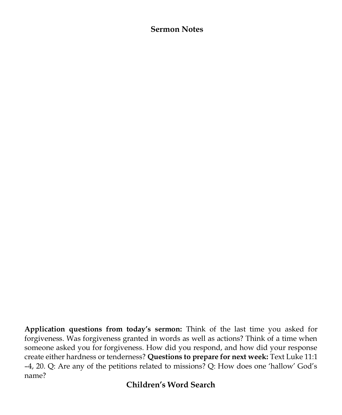#### **Sermon Notes**

**Application questions from today's sermon:** Think of the last time you asked for forgiveness. Was forgiveness granted in words as well as actions? Think of a time when someone asked you for forgiveness. How did you respond, and how did your response create either hardness or tenderness? **Questions to prepare for next week:** Text Luke 11:1 –4, 20. Q: Are any of the petitions related to missions? Q: How does one 'hallow' God's name?

#### **Children's Word Search**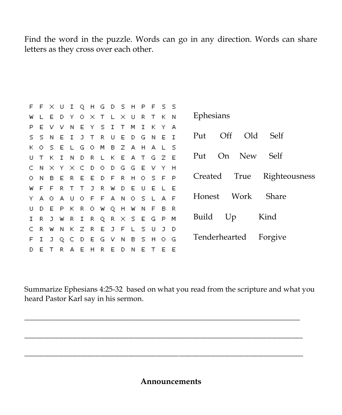Find the word in the puzzle. Words can go in any direction. Words can share letters as they cross over each other.

|    |       |      |         |     |   | F F X U I Q H G D S H P F S S |    |         |              |              |           |     |                                        |
|----|-------|------|---------|-----|---|-------------------------------|----|---------|--------------|--------------|-----------|-----|----------------------------------------|
| w  |       | E    |         |     |   | D Y O X T L X U R T K         |    |         |              |              |           | - N | Ephesians                              |
| P  | E     | v    | – V.    |     |   | NEYSIT                        |    | м       | $\mathbf{T}$ | к            | -Y.       | A   |                                        |
|    |       |      |         |     |   | S S N E I J T R U E D G       |    |         |              | N E          |           | T   | $\overline{Off}$<br>Old<br>Self<br>Put |
|    |       | KOSE |         |     |   | L G O M B Z A H A L S         |    |         |              |              |           |     |                                        |
|    |       |      |         |     |   | U T K I N D R L K E A T G Z E |    |         |              |              |           |     | New<br>Self<br>On<br>Put               |
| C. | N.    |      |         |     |   | X Y X C D O D G G E           |    |         |              | V.           | - Y       | H   |                                        |
|    |       |      |         |     |   | O N B E R E E D F R H O S F   |    |         |              |              |           | P   | Righteousness<br>True<br>Created       |
| w  | $F$ F |      |         |     |   | R T T J R W D E               |    |         | - U          |              | $F \perp$ | - F |                                        |
|    |       |      |         |     |   | Y A O A U O F F A N O S L A F |    |         |              |              |           |     | Share<br>Work<br>Honest                |
|    | D.    | E    |         |     |   | P K R O W Q H                 |    | W N F B |              |              |           | -R  |                                        |
|    |       |      |         |     |   | I R J W R I R Q R X S E G P M |    |         |              |              |           |     | Kind<br>Build<br>Up                    |
|    | R.    | W    | N K Z R |     |   | E J                           | F  |         | ς            | $\mathbf{H}$ |           | Ð   |                                        |
|    |       |      |         |     |   | F I J Q C D E G V N B S H O G |    |         |              |              |           |     | Tenderhearted<br>Forgive               |
|    | Е     |      | R.      | A E | H | R E                           | D. | N       | E.           |              | Е         | Ε   |                                        |

Summarize Ephesians 4:25-32 based on what you read from the scripture and what you heard Pastor Karl say in his sermon.

\_\_\_\_\_\_\_\_\_\_\_\_\_\_\_\_\_\_\_\_\_\_\_\_\_\_\_\_\_\_\_\_\_\_\_\_\_\_\_\_\_\_\_\_\_\_\_\_\_\_\_\_\_\_\_\_\_\_\_\_\_\_\_\_\_\_\_\_\_\_\_\_\_\_\_\_\_\_\_\_\_\_\_\_\_\_\_\_\_\_\_\_\_\_\_\_\_\_

\_\_\_\_\_\_\_\_\_\_\_\_\_\_\_\_\_\_\_\_\_\_\_\_\_\_\_\_\_\_\_\_\_\_\_\_\_\_\_\_\_\_\_\_\_\_\_\_\_\_\_\_\_\_\_\_\_\_\_\_\_\_\_\_\_\_\_\_\_\_\_\_\_\_\_\_\_\_\_\_\_\_\_\_\_\_\_\_\_\_\_\_\_\_\_\_\_\_\_

\_\_\_\_\_\_\_\_\_\_\_\_\_\_\_\_\_\_\_\_\_\_\_\_\_\_\_\_\_\_\_\_\_\_\_\_\_\_\_\_\_\_\_\_\_\_\_\_\_\_\_\_\_\_\_\_\_\_\_\_\_\_\_\_\_\_\_\_\_\_\_\_\_\_\_\_\_\_\_\_\_\_\_\_\_\_\_\_\_\_\_\_\_\_\_\_\_\_\_

#### **Announcements**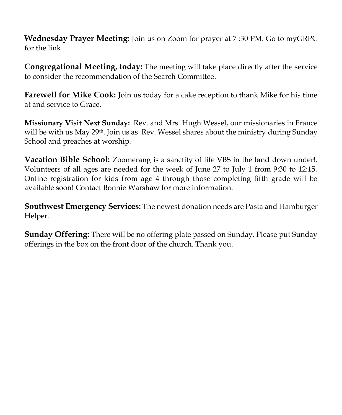**Wednesday Prayer Meeting:** Join us on Zoom for prayer at 7 :30 PM. Go to myGRPC for the link.

**Congregational Meeting, today:** The meeting will take place directly after the service to consider the recommendation of the Search Committee.

**Farewell for Mike Cook:** Join us today for a cake reception to thank Mike for his time at and service to Grace.

**Missionary Visit Next Sunday:** Rev. and Mrs. Hugh Wessel, our missionaries in France will be with us May 29<sup>th</sup>. Join us as Rev. Wessel shares about the ministry during Sunday School and preaches at worship.

**Vacation Bible School:** Zoomerang is a sanctity of life VBS in the land down under!. Volunteers of all ages are needed for the week of June 27 to July 1 from 9:30 to 12:15. Online registration for kids from age 4 through those completing fifth grade will be available soon! Contact Bonnie Warshaw for more information.

**Southwest Emergency Services:** The newest donation needs are Pasta and Hamburger Helper.

**Sunday Offering:** There will be no offering plate passed on Sunday. Please put Sunday offerings in the box on the front door of the church. Thank you.